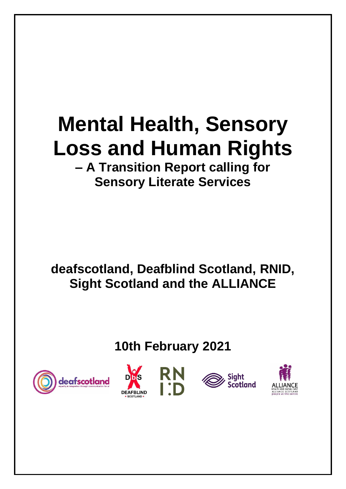# **Mental Health, Sensory Loss and Human Rights – A Transition Report calling for**

# **Sensory Literate Services**

**deafscotland, Deafblind Scotland, RNID, Sight Scotland and the ALLIANCE**

**10th February 2021**







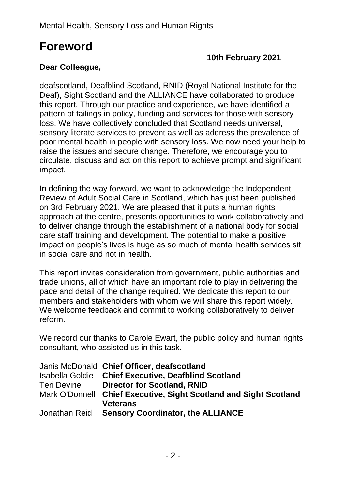# **Foreword**

#### **10th February 2021**

#### **Dear Colleague,**

deafscotland, Deafblind Scotland, RNID (Royal National Institute for the Deaf), Sight Scotland and the ALLIANCE have collaborated to produce this report. Through our practice and experience, we have identified a pattern of failings in policy, funding and services for those with sensory loss. We have collectively concluded that Scotland needs universal, sensory literate services to prevent as well as address the prevalence of poor mental health in people with sensory loss. We now need your help to raise the issues and secure change. Therefore, we encourage you to circulate, discuss and act on this report to achieve prompt and significant impact.

In defining the way forward, we want to acknowledge the Independent Review of Adult Social Care in Scotland, which has just been published on 3rd February 2021. We are pleased that it puts a human rights approach at the centre, presents opportunities to work collaboratively and to deliver change through the establishment of a national body for social care staff training and development. The potential to make a positive impact on people's lives is huge as so much of mental health services sit in social care and not in health.

This report invites consideration from government, public authorities and trade unions, all of which have an important role to play in delivering the pace and detail of the change required. We dedicate this report to our members and stakeholders with whom we will share this report widely. We welcome feedback and commit to working collaboratively to deliver reform.

We record our thanks to Carole Ewart, the public policy and human rights consultant, who assisted us in this task.

|             | Janis McDonald Chief Officer, deafscotland                        |
|-------------|-------------------------------------------------------------------|
|             | Isabella Goldie Chief Executive, Deafblind Scotland               |
| Teri Devine | <b>Director for Scotland, RNID</b>                                |
|             | Mark O'Donnell Chief Executive, Sight Scotland and Sight Scotland |
|             | <b>Veterans</b>                                                   |
|             | Jonathan Reid Sensory Coordinator, the ALLIANCE                   |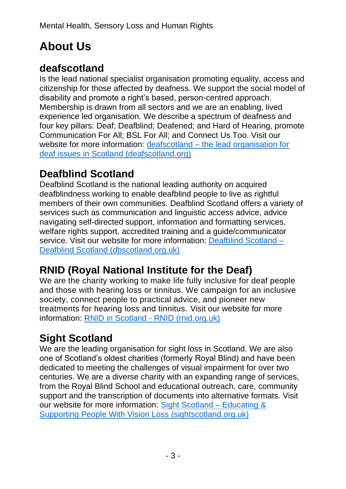# **About Us**

### **deafscotland**

Is the lead national specialist organisation promoting equality, access and citizenship for those affected by deafness. We support the social model of disability and promote a right's based, person-centred approach. Membership is drawn from all sectors and we are an enabling, lived experience led organisation. We describe a spectrum of deafness and four key pillars: Deaf; Deafblind; Deafened; and Hard of Hearing, promote Communication For All; BSL For All; and Connect Us Too. Visit our website for more information: deafscotland – [the lead organisation for](https://deafscotland.org/)  [deaf issues in Scotland](https://deafscotland.org/) (deafscotland.org)

### **Deafblind Scotland**

Deafblind Scotland is the national leading authority on acquired deafblindness working to enable deafblind people to live as rightful members of their own communities. Deafblind Scotland offers a variety of services such as communication and linguistic access advice, advice navigating self-directed support, information and formatting services, welfare rights support, accredited training and a guide/communicator service. Visit our website for more information: [Deafblind Scotland –](https://dbscotland.org.uk/) [Deafblind Scotland \(dbscotland.org.uk\)](https://dbscotland.org.uk/)

# **RNID (Royal National Institute for the Deaf)**

We are the charity working to make life fully inclusive for deaf people and those with hearing loss or tinnitus. We campaign for an inclusive society, connect people to practical advice, and pioneer new treatments for hearing loss and tinnitus. Visit our website for more information: [RNID in Scotland -](https://rnid.org.uk/about-us/rnid-in-scotland/) RNID (rnid.org.uk)

# **Sight Scotland**

We are the leading organisation for sight loss in Scotland. We are also one of Scotland's oldest charities (formerly Royal Blind) and have been dedicated to meeting the challenges of visual impairment for over two centuries. We are a diverse charity with an expanding range of services, from the Royal Blind School and educational outreach, care, community support and the transcription of documents into alternative formats. Visit our website for more information: [Sight Scotland](https://sightscotland.org.uk/) – Educating & [Supporting People With Vision Loss](https://sightscotland.org.uk/) (sightscotland.org.uk)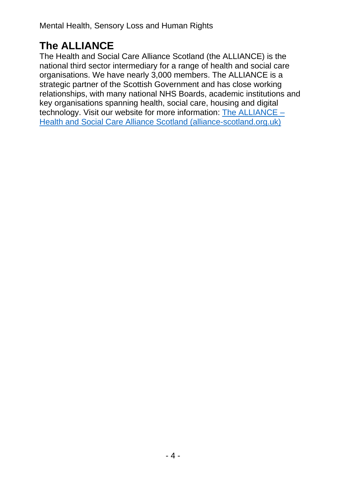# **The ALLIANCE**

The Health and Social Care Alliance Scotland (the ALLIANCE) is the national third sector intermediary for a range of health and social care organisations. We have nearly 3,000 members. The ALLIANCE is a strategic partner of the Scottish Government and has close working relationships, with many national NHS Boards, academic institutions and key organisations spanning health, social care, housing and digital technology. Visit our website for more information: [The ALLIANCE](https://www.alliance-scotland.org.uk/) – [Health and Social Care Alliance Scotland \(alliance-scotland.org.uk\)](https://www.alliance-scotland.org.uk/)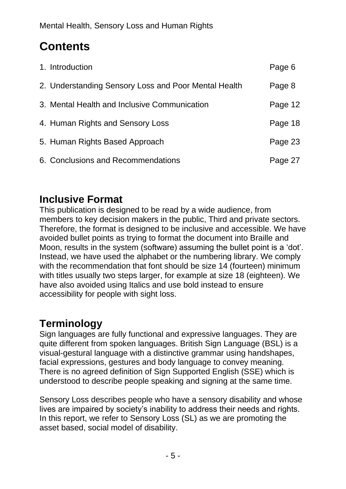# **Contents**

| 1. Introduction                                      | Page 6  |
|------------------------------------------------------|---------|
| 2. Understanding Sensory Loss and Poor Mental Health | Page 8  |
| 3. Mental Health and Inclusive Communication         | Page 12 |
| 4. Human Rights and Sensory Loss                     | Page 18 |
| 5. Human Rights Based Approach                       | Page 23 |
| 6. Conclusions and Recommendations                   | Page 27 |

### **Inclusive Format**

This publication is designed to be read by a wide audience, from members to key decision makers in the public, Third and private sectors. Therefore, the format is designed to be inclusive and accessible. We have avoided bullet points as trying to format the document into Braille and Moon, results in the system (software) assuming the bullet point is a 'dot'. Instead, we have used the alphabet or the numbering library. We comply with the recommendation that font should be size 14 (fourteen) minimum with titles usually two steps larger, for example at size 18 (eighteen). We have also avoided using Italics and use bold instead to ensure accessibility for people with sight loss.

# **Terminology**

Sign languages are fully functional and expressive languages. They are quite different from spoken languages. British Sign Language (BSL) is a visual-gestural language with a distinctive grammar using handshapes, facial expressions, gestures and body language to convey meaning. There is no agreed definition of Sign Supported English (SSE) which is understood to describe people speaking and signing at the same time.

Sensory Loss describes people who have a sensory disability and whose lives are impaired by society's inability to address their needs and rights. In this report, we refer to Sensory Loss (SL) as we are promoting the asset based, social model of disability.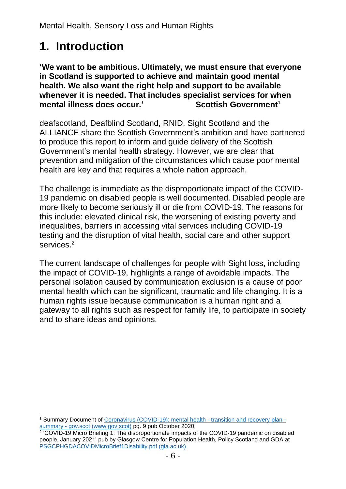# **1. Introduction**

**'We want to be ambitious. Ultimately, we must ensure that everyone in Scotland is supported to achieve and maintain good mental health. We also want the right help and support to be available whenever it is needed. That includes specialist services for when mental illness does occur.' Scottish Government**<sup>1</sup>

deafscotland, Deafblind Scotland, RNID, Sight Scotland and the ALLIANCE share the Scottish Government's ambition and have partnered to produce this report to inform and guide delivery of the Scottish Government's mental health strategy. However, we are clear that prevention and mitigation of the circumstances which cause poor mental health are key and that requires a whole nation approach.

The challenge is immediate as the disproportionate impact of the COVID-19 pandemic on disabled people is well documented. Disabled people are more likely to become seriously ill or die from COVID-19. The reasons for this include: elevated clinical risk, the worsening of existing poverty and inequalities, barriers in accessing vital services including COVID-19 testing and the disruption of vital health, social care and other support services.<sup>2</sup>

The current landscape of challenges for people with Sight loss, including the impact of COVID-19, highlights a range of avoidable impacts. The personal isolation caused by communication exclusion is a cause of poor mental health which can be significant, traumatic and life changing. It is a human rights issue because communication is a human right and a gateway to all rights such as respect for family life, to participate in society and to share ideas and opinions.

<sup>&</sup>lt;sup>1</sup> Summary Document of Coronavirus (COVID-19): mental health - [transition and recovery plan](https://www.gov.scot/publications/mental-health-scotlands-transition-recovery-summary/)  summary - [gov.scot \(www.gov.scot\)](https://www.gov.scot/publications/mental-health-scotlands-transition-recovery-summary/) pg. 9 pub October 2020.

<sup>&</sup>lt;sup>2</sup> 'COVID-19 Micro Briefing 1: The disproportionate impacts of the COVID-19 pandemic on disabled people. January 2021' pub by Glasgow Centre for Population Health, Policy Scotland and GDA at [PSGCPHGDACOVIDMicroBrief1Disability.pdf \(gla.ac.uk\)](https://policyscotland.gla.ac.uk/wp-content/uploads/2021/01/PSGCPHGDACOVIDMicroBrief1Disability.pdf)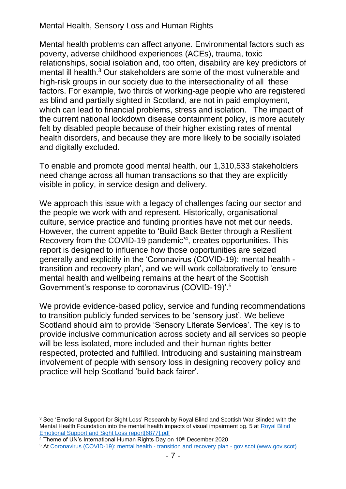Mental health problems can affect anyone. Environmental factors such as poverty, adverse childhood experiences (ACEs), trauma, toxic relationships, social isolation and, too often, disability are key predictors of mental ill health. <sup>3</sup> Our stakeholders are some of the most vulnerable and high-risk groups in our society due to the intersectionality of all these factors. For example, two thirds of working-age people who are registered as blind and partially sighted in Scotland, are not in paid employment, which can lead to financial problems, stress and isolation. The impact of the current national lockdown disease containment policy, is more acutely felt by disabled people because of their higher existing rates of mental health disorders, and because they are more likely to be socially isolated and digitally excluded.

To enable and promote good mental health, our 1,310,533 stakeholders need change across all human transactions so that they are explicitly visible in policy, in service design and delivery.

We approach this issue with a legacy of challenges facing our sector and the people we work with and represent. Historically, organisational culture, service practice and funding priorities have not met our needs. However, the current appetite to 'Build Back Better through a Resilient Recovery from the COVID-19 pandemic' 4 , creates opportunities. This report is designed to influence how those opportunities are seized generally and explicitly in the 'Coronavirus (COVID-19): mental health transition and recovery plan', and we will work collaboratively to 'ensure mental health and wellbeing remains at the heart of the Scottish Government's response to coronavirus (COVID-19)'. 5

We provide evidence-based policy, service and funding recommendations to transition publicly funded services to be 'sensory just'. We believe Scotland should aim to provide 'Sensory Literate Services'. The key is to provide inclusive communication across society and all services so people will be less isolated, more included and their human rights better respected, protected and fulfilled. Introducing and sustaining mainstream involvement of people with sensory loss in designing recovery policy and practice will help Scotland 'build back fairer'.

<sup>&</sup>lt;sup>3</sup> See 'Emotional Support for Sight Loss' Research by Royal Blind and Scottish War Blinded with the Mental Health Foundation into the mental health impacts of visual impairment pg. 5 at [Royal Blind](file:///C:/Users/carol/Documents/deafscotland/Joint%20Work/Royal%20Blind%20Emotional%20Support%20and%20Sight%20Loss%20report%5b6877%5d.pdf)  [Emotional Support and Sight Loss report\[6877\].pdf](file:///C:/Users/carol/Documents/deafscotland/Joint%20Work/Royal%20Blind%20Emotional%20Support%20and%20Sight%20Loss%20report%5b6877%5d.pdf)

<sup>&</sup>lt;sup>4</sup> Theme of UN's International Human Rights Day on 10<sup>th</sup> December 2020

<sup>5</sup> At [Coronavirus \(COVID-19\): mental health -](https://www.gov.scot/publications/mental-health-scotlands-transition-recovery/) transition and recovery plan - gov.scot (www.gov.scot)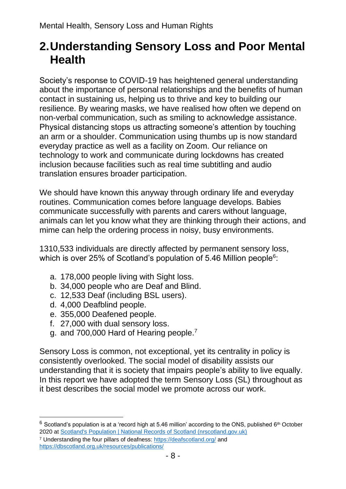# **2.Understanding Sensory Loss and Poor Mental Health**

Society's response to COVID-19 has heightened general understanding about the importance of personal relationships and the benefits of human contact in sustaining us, helping us to thrive and key to building our resilience. By wearing masks, we have realised how often we depend on non-verbal communication, such as smiling to acknowledge assistance. Physical distancing stops us attracting someone's attention by touching an arm or a shoulder. Communication using thumbs up is now standard everyday practice as well as a facility on Zoom. Our reliance on technology to work and communicate during lockdowns has created inclusion because facilities such as real time subtitling and audio translation ensures broader participation.

We should have known this anyway through ordinary life and everyday routines. Communication comes before language develops. Babies communicate successfully with parents and carers without language, animals can let you know what they are thinking through their actions, and mime can help the ordering process in noisy, busy environments.

1310,533 individuals are directly affected by permanent sensory loss, which is over 25% of Scotland's population of 5.46 Million people $\rm ^6$ :

- a. 178,000 people living with Sight loss.
- b. 34,000 people who are Deaf and Blind.
- c. 12,533 Deaf (including BSL users).
- d. 4,000 Deafblind people.
- e. 355,000 Deafened people.
- f. 27,000 with dual sensory loss.
- g. and 700,000 Hard of Hearing people.<sup>7</sup>

Sensory Loss is common, not exceptional, yet its centrality in policy is consistently overlooked. The social model of disability assists our understanding that it is society that impairs people's ability to live equally. In this report we have adopted the term Sensory Loss (SL) throughout as it best describes the social model we promote across our work.

 $6$  Scotland's population is at a 'record high at 5.46 million' according to the ONS, published  $6<sup>th</sup>$  October 2020 at [Scotland's Population | National Records of Scotland \(nrscotland.gov.uk\)](https://www.nrscotland.gov.uk/news/2020/scotlands-population)

<sup>7</sup> Understanding the four pillars of deafness:<https://deafscotland.org/> and <https://dbscotland.org.uk/resources/publications/>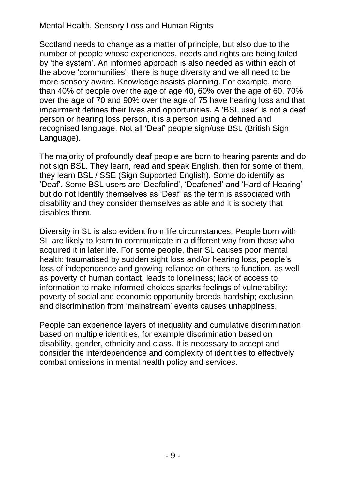Scotland needs to change as a matter of principle, but also due to the number of people whose experiences, needs and rights are being failed by 'the system'. An informed approach is also needed as within each of the above 'communities', there is huge diversity and we all need to be more sensory aware. Knowledge assists planning. For example, more than 40% of people over the age of age 40, 60% over the age of 60, 70% over the age of 70 and 90% over the age of 75 have hearing loss and that impairment defines their lives and opportunities. A 'BSL user' is not a deaf person or hearing loss person, it is a person using a defined and recognised language. Not all 'Deaf' people sign/use BSL (British Sign Language).

The majority of profoundly deaf people are born to hearing parents and do not sign BSL. They learn, read and speak English, then for some of them, they learn BSL / SSE (Sign Supported English). Some do identify as 'Deaf'. Some BSL users are 'Deafblind', 'Deafened' and 'Hard of Hearing' but do not identify themselves as 'Deaf' as the term is associated with disability and they consider themselves as able and it is society that disables them.

Diversity in SL is also evident from life circumstances. People born with SL are likely to learn to communicate in a different way from those who acquired it in later life. For some people, their SL causes poor mental health: traumatised by sudden sight loss and/or hearing loss, people's loss of independence and growing reliance on others to function, as well as poverty of human contact, leads to loneliness; lack of access to information to make informed choices sparks feelings of vulnerability; poverty of social and economic opportunity breeds hardship; exclusion and discrimination from 'mainstream' events causes unhappiness.

People can experience layers of inequality and cumulative discrimination based on multiple identities, for example discrimination based on disability, gender, ethnicity and class. It is necessary to accept and consider the interdependence and complexity of identities to effectively combat omissions in mental health policy and services.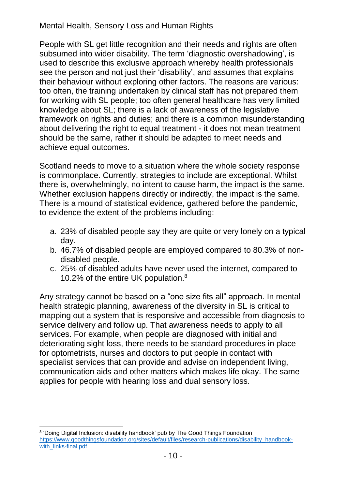People with SL get little recognition and their needs and rights are often subsumed into wider disability. The term 'diagnostic overshadowing', is used to describe this exclusive approach whereby health professionals see the person and not just their 'disability', and assumes that explains their behaviour without exploring other factors. The reasons are various: too often, the training undertaken by clinical staff has not prepared them for working with SL people; too often general healthcare has very limited knowledge about SL; there is a lack of awareness of the legislative framework on rights and duties; and there is a common misunderstanding about delivering the right to equal treatment - it does not mean treatment should be the same, rather it should be adapted to meet needs and achieve equal outcomes.

Scotland needs to move to a situation where the whole society response is commonplace. Currently, strategies to include are exceptional. Whilst there is, overwhelmingly, no intent to cause harm, the impact is the same. Whether exclusion happens directly or indirectly, the impact is the same. There is a mound of statistical evidence, gathered before the pandemic, to evidence the extent of the problems including:

- a. 23% of disabled people say they are quite or very lonely on a typical day.
- b. 46.7% of disabled people are employed compared to 80.3% of nondisabled people.
- c. 25% of disabled adults have never used the internet, compared to 10.2% of the entire UK population. 8

Any strategy cannot be based on a "one size fits all" approach. In mental health strategic planning, awareness of the diversity in SL is critical to mapping out a system that is responsive and accessible from diagnosis to service delivery and follow up. That awareness needs to apply to all services. For example, when people are diagnosed with initial and deteriorating sight loss, there needs to be standard procedures in place for optometrists, nurses and doctors to put people in contact with specialist services that can provide and advise on independent living, communication aids and other matters which makes life okay. The same applies for people with hearing loss and dual sensory loss.

<sup>&</sup>lt;sup>8</sup> 'Doing Digital Inclusion: disability handbook' pub by The Good Things Foundation [https://www.goodthingsfoundation.org/sites/default/files/research-publications/disability\\_handbook](https://www.goodthingsfoundation.org/sites/default/files/research-publications/disability_handbook-with_links-final.pdf)[with\\_links-final.pdf](https://www.goodthingsfoundation.org/sites/default/files/research-publications/disability_handbook-with_links-final.pdf)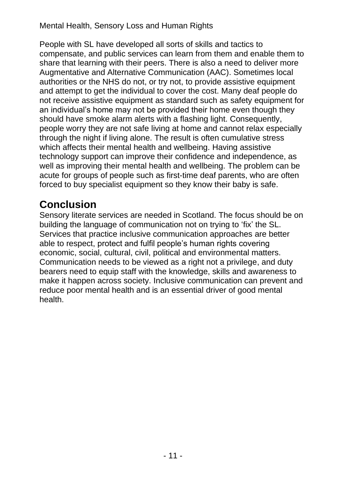People with SL have developed all sorts of skills and tactics to compensate, and public services can learn from them and enable them to share that learning with their peers. There is also a need to deliver more Augmentative and Alternative Communication (AAC). Sometimes local authorities or the NHS do not, or try not, to provide assistive equipment and attempt to get the individual to cover the cost. Many deaf people do not receive assistive equipment as standard such as safety equipment for an individual's home may not be provided their home even though they should have smoke alarm alerts with a flashing light. Consequently, people worry they are not safe living at home and cannot relax especially through the night if living alone. The result is often cumulative stress which affects their mental health and wellbeing. Having assistive technology support can improve their confidence and independence, as well as improving their mental health and wellbeing. The problem can be acute for groups of people such as first-time deaf parents, who are often forced to buy specialist equipment so they know their baby is safe.

### **Conclusion**

Sensory literate services are needed in Scotland. The focus should be on building the language of communication not on trying to 'fix' the SL. Services that practice inclusive communication approaches are better able to respect, protect and fulfil people's human rights covering economic, social, cultural, civil, political and environmental matters. Communication needs to be viewed as a right not a privilege, and duty bearers need to equip staff with the knowledge, skills and awareness to make it happen across society. Inclusive communication can prevent and reduce poor mental health and is an essential driver of good mental health.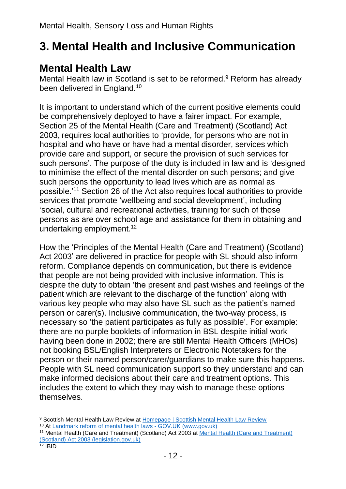# **3. Mental Health and Inclusive Communication**

### **Mental Health Law**

Mental Health law in Scotland is set to be reformed. <sup>9</sup> Reform has already been delivered in England. 10

It is important to understand which of the current positive elements could be comprehensively deployed to have a fairer impact. For example, Section 25 of the Mental Health (Care and Treatment) (Scotland) Act 2003, requires local authorities to 'provide, for persons who are not in hospital and who have or have had a mental disorder, services which provide care and support, or secure the provision of such services for such persons'. The purpose of the duty is included in law and is 'designed to minimise the effect of the mental disorder on such persons; and give such persons the opportunity to lead lives which are as normal as possible.'<sup>11</sup> Section 26 of the Act also requires local authorities to provide services that promote 'wellbeing and social development', including 'social, cultural and recreational activities, training for such of those persons as are over school age and assistance for them in obtaining and undertaking employment.<sup>12</sup>

How the 'Principles of the Mental Health (Care and Treatment) (Scotland) Act 2003' are delivered in practice for people with SL should also inform reform. Compliance depends on communication, but there is evidence that people are not being provided with inclusive information. This is despite the duty to obtain 'the present and past wishes and feelings of the patient which are relevant to the discharge of the function' along with various key people who may also have SL such as the patient's named person or carer(s). Inclusive communication, the two-way process, is necessary so 'the patient participates as fully as possible'. For example: there are no purple booklets of information in BSL despite initial work having been done in 2002; there are still Mental Health Officers (MHOs) not booking BSL/English Interpreters or Electronic Notetakers for the person or their named person/carer/guardians to make sure this happens. People with SL need communication support so they understand and can make informed decisions about their care and treatment options. This includes the extent to which they may wish to manage these options themselves.

<sup>9</sup> Scottish Mental Health Law Review at [Homepage | Scottish Mental Health Law Review](https://mentalhealthlawreview.scot/) <sup>10</sup> At [Landmark reform of mental health laws -](https://www.gov.uk/government/news/landmark-reform-of-mental-health-laws) GOV.UK (www.gov.uk)

<sup>&</sup>lt;sup>11</sup> [Mental Health \(Care and Treatment\)](https://www.legislation.gov.uk/asp/2003/13/part/4/chapter/2) (Scotland) Act 2003 at **Mental Health (Care and Treatment)** [\(Scotland\) Act 2003 \(legislation.gov.uk\)](https://www.legislation.gov.uk/asp/2003/13/part/4/chapter/2)

<sup>12</sup> IBID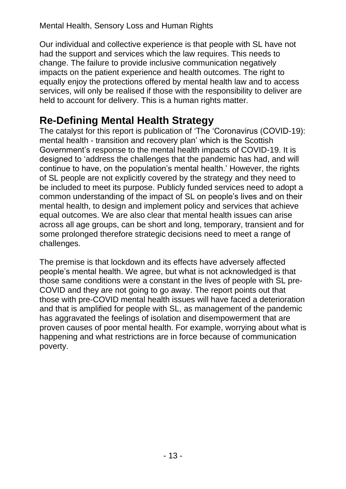Our individual and collective experience is that people with SL have not had the support and services which the law requires. This needs to change. The failure to provide inclusive communication negatively impacts on the patient experience and health outcomes. The right to equally enjoy the protections offered by mental health law and to access services, will only be realised if those with the responsibility to deliver are held to account for delivery. This is a human rights matter.

### **Re-Defining Mental Health Strategy**

The catalyst for this report is publication of 'The 'Coronavirus (COVID-19): mental health - transition and recovery plan' which is the Scottish Government's response to the mental health impacts of COVID-19. It is designed to 'address the challenges that the pandemic has had, and will continue to have, on the population's mental health.' However, the rights of SL people are not explicitly covered by the strategy and they need to be included to meet its purpose. Publicly funded services need to adopt a common understanding of the impact of SL on people's lives and on their mental health, to design and implement policy and services that achieve equal outcomes. We are also clear that mental health issues can arise across all age groups, can be short and long, temporary, transient and for some prolonged therefore strategic decisions need to meet a range of challenges.

The premise is that lockdown and its effects have adversely affected people's mental health. We agree, but what is not acknowledged is that those same conditions were a constant in the lives of people with SL pre-COVID and they are not going to go away. The report points out that those with pre-COVID mental health issues will have faced a deterioration and that is amplified for people with SL, as management of the pandemic has aggravated the feelings of isolation and disempowerment that are proven causes of poor mental health. For example, worrying about what is happening and what restrictions are in force because of communication poverty.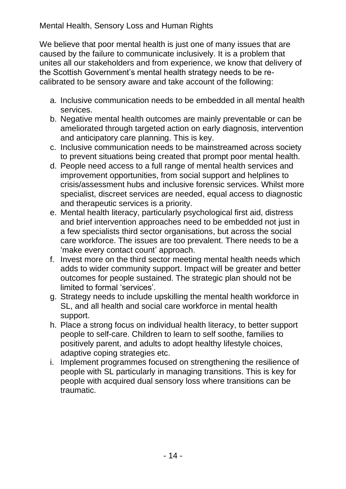We believe that poor mental health is just one of many issues that are caused by the failure to communicate inclusively. It is a problem that unites all our stakeholders and from experience, we know that delivery of the Scottish Government's mental health strategy needs to be recalibrated to be sensory aware and take account of the following:

- a. Inclusive communication needs to be embedded in all mental health services.
- b. Negative mental health outcomes are mainly preventable or can be ameliorated through targeted action on early diagnosis, intervention and anticipatory care planning. This is key.
- c. Inclusive communication needs to be mainstreamed across society to prevent situations being created that prompt poor mental health.
- d. People need access to a full range of mental health services and improvement opportunities, from social support and helplines to crisis/assessment hubs and inclusive forensic services. Whilst more specialist, discreet services are needed, equal access to diagnostic and therapeutic services is a priority.
- e. Mental health literacy, particularly psychological first aid, distress and brief intervention approaches need to be embedded not just in a few specialists third sector organisations, but across the social care workforce. The issues are too prevalent. There needs to be a 'make every contact count' approach.
- f. Invest more on the third sector meeting mental health needs which adds to wider community support. Impact will be greater and better outcomes for people sustained. The strategic plan should not be limited to formal 'services'.
- g. Strategy needs to include upskilling the mental health workforce in SL, and all health and social care workforce in mental health support.
- h. Place a strong focus on individual health literacy, to better support people to self-care. Children to learn to self soothe, families to positively parent, and adults to adopt healthy lifestyle choices, adaptive coping strategies etc.
- i. Implement programmes focused on strengthening the resilience of people with SL particularly in managing transitions. This is key for people with acquired dual sensory loss where transitions can be traumatic.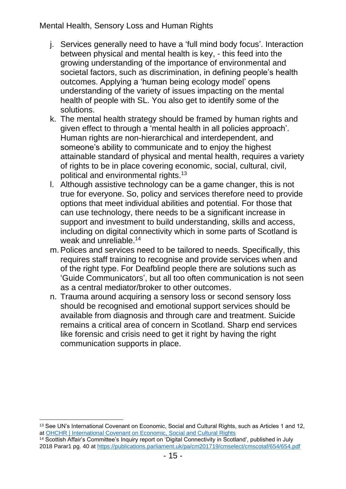- j. Services generally need to have a 'full mind body focus'. Interaction between physical and mental health is key, - this feed into the growing understanding of the importance of environmental and societal factors, such as discrimination, in defining people's health outcomes. Applying a 'human being ecology model' opens understanding of the variety of issues impacting on the mental health of people with SL. You also get to identify some of the solutions.
- k. The mental health strategy should be framed by human rights and given effect to through a 'mental health in all policies approach'. Human rights are non-hierarchical and interdependent, and someone's ability to communicate and to enjoy the highest attainable standard of physical and mental health, requires a variety of rights to be in place covering economic, social, cultural, civil, political and environmental rights.<sup>13</sup>
- l. Although assistive technology can be a game changer, this is not true for everyone. So, policy and services therefore need to provide options that meet individual abilities and potential. For those that can use technology, there needs to be a significant increase in support and investment to build understanding, skills and access, including on digital connectivity which in some parts of Scotland is weak and unreliable.<sup>14</sup>
- m.Polices and services need to be tailored to needs. Specifically, this requires staff training to recognise and provide services when and of the right type. For Deafblind people there are solutions such as 'Guide Communicators', but all too often communication is not seen as a central mediator/broker to other outcomes.
- n. Trauma around acquiring a sensory loss or second sensory loss should be recognised and emotional support services should be available from diagnosis and through care and treatment. Suicide remains a critical area of concern in Scotland. Sharp end services like forensic and crisis need to get it right by having the right communication supports in place.

<sup>13</sup> See UN's International Covenant on Economic, Social and Cultural Rights, such as Articles 1 and 12, at [OHCHR | International Covenant on Economic,](https://www.ohchr.org/en/professionalinterest/pages/cescr.aspx) Social and Cultural Rights

<sup>14</sup> Scottish Affair's Committee's Inquiry report on 'Digital Connectivity in Scotland', published in July 2018 Parar1 pg. 40 at<https://publications.parliament.uk/pa/cm201719/cmselect/cmscotaf/654/654.pdf>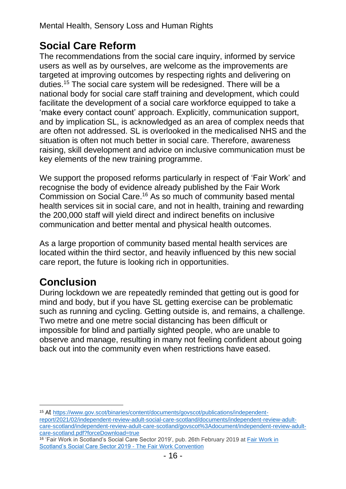# **Social Care Reform**

The recommendations from the social care inquiry, informed by service users as well as by ourselves, are welcome as the improvements are targeted at improving outcomes by respecting rights and delivering on duties.<sup>15</sup> The social care system will be redesigned. There will be a national body for social care staff training and development, which could facilitate the development of a social care workforce equipped to take a 'make every contact count' approach. Explicitly, communication support, and by implication SL, is acknowledged as an area of complex needs that are often not addressed. SL is overlooked in the medicalised NHS and the situation is often not much better in social care. Therefore, awareness raising, skill development and advice on inclusive communication must be key elements of the new training programme.

We support the proposed reforms particularly in respect of 'Fair Work' and recognise the body of evidence already published by the Fair Work Commission on Social Care. <sup>16</sup> As so much of community based mental health services sit in social care, and not in health, training and rewarding the 200,000 staff will yield direct and indirect benefits on inclusive communication and better mental and physical health outcomes.

As a large proportion of community based mental health services are located within the third sector, and heavily influenced by this new social care report, the future is looking rich in opportunities.

# **Conclusion**

During lockdown we are repeatedly reminded that getting out is good for mind and body, but if you have SL getting exercise can be problematic such as running and cycling. Getting outside is, and remains, a challenge. Two metre and one metre social distancing has been difficult or impossible for blind and partially sighted people, who are unable to observe and manage, resulting in many not feeling confident about going back out into the community even when restrictions have eased.

<sup>15</sup> At [https://www.gov.scot/binaries/content/documents/govscot/publications/independent](https://www.gov.scot/binaries/content/documents/govscot/publications/independent-report/2021/02/independent-review-adult-social-care-scotland/documents/independent-review-adult-care-scotland/independent-review-adult-care-scotland/govscot%3Adocument/independent-review-adult-care-scotland.pdf?forceDownload=true)[report/2021/02/independent-review-adult-social-care-scotland/documents/independent-review-adult](https://www.gov.scot/binaries/content/documents/govscot/publications/independent-report/2021/02/independent-review-adult-social-care-scotland/documents/independent-review-adult-care-scotland/independent-review-adult-care-scotland/govscot%3Adocument/independent-review-adult-care-scotland.pdf?forceDownload=true)[care-scotland/independent-review-adult-care-scotland/govscot%3Adocument/independent-review-adult](https://www.gov.scot/binaries/content/documents/govscot/publications/independent-report/2021/02/independent-review-adult-social-care-scotland/documents/independent-review-adult-care-scotland/independent-review-adult-care-scotland/govscot%3Adocument/independent-review-adult-care-scotland.pdf?forceDownload=true)[care-scotland.pdf?forceDownload=true](https://www.gov.scot/binaries/content/documents/govscot/publications/independent-report/2021/02/independent-review-adult-social-care-scotland/documents/independent-review-adult-care-scotland/independent-review-adult-care-scotland/govscot%3Adocument/independent-review-adult-care-scotland.pdf?forceDownload=true)

<sup>16 &#</sup>x27;Fair Work in Scotland's Social Care Sector 2019', pub. 26th February 2019 at Fair Work in [Scotland's Social Care Sector 2019 -](https://www.fairworkconvention.scot/our-report-on-fair-work-in-social-care/) The Fair Work Convention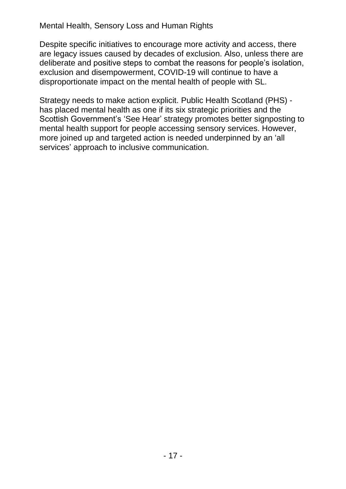Despite specific initiatives to encourage more activity and access, there are legacy issues caused by decades of exclusion. Also, unless there are deliberate and positive steps to combat the reasons for people's isolation, exclusion and disempowerment, COVID-19 will continue to have a disproportionate impact on the mental health of people with SL.

Strategy needs to make action explicit. Public Health Scotland (PHS) has placed mental health as one if its six strategic priorities and the Scottish Government's 'See Hear' strategy promotes better signposting to mental health support for people accessing sensory services. However, more joined up and targeted action is needed underpinned by an 'all services' approach to inclusive communication.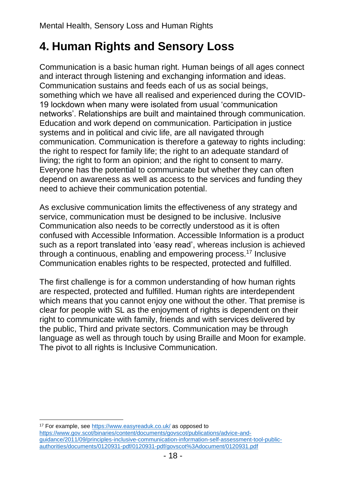# **4. Human Rights and Sensory Loss**

Communication is a basic human right. Human beings of all ages connect and interact through listening and exchanging information and ideas. Communication sustains and feeds each of us as social beings, something which we have all realised and experienced during the COVID-19 lockdown when many were isolated from usual 'communication networks'. Relationships are built and maintained through communication. Education and work depend on communication. Participation in justice systems and in political and civic life, are all navigated through communication. Communication is therefore a gateway to rights including: the right to respect for family life; the right to an adequate standard of living; the right to form an opinion; and the right to consent to marry. Everyone has the potential to communicate but whether they can often depend on awareness as well as access to the services and funding they need to achieve their communication potential.

As exclusive communication limits the effectiveness of any strategy and service, communication must be designed to be inclusive. Inclusive Communication also needs to be correctly understood as it is often confused with Accessible Information. Accessible Information is a product such as a report translated into 'easy read', whereas inclusion is achieved through a continuous, enabling and empowering process.<sup>17</sup> Inclusive Communication enables rights to be respected, protected and fulfilled.

The first challenge is for a common understanding of how human rights are respected, protected and fulfilled. Human rights are interdependent which means that you cannot enjoy one without the other. That premise is clear for people with SL as the enjoyment of rights is dependent on their right to communicate with family, friends and with services delivered by the public, Third and private sectors. Communication may be through language as well as through touch by using Braille and Moon for example. The pivot to all rights is Inclusive Communication.

<sup>17</sup> For example, see<https://www.easyreaduk.co.uk/> as opposed to

[https://www.gov.scot/binaries/content/documents/govscot/publications/advice-and](https://www.gov.scot/binaries/content/documents/govscot/publications/advice-and-guidance/2011/09/principles-inclusive-communication-information-self-assessment-tool-public-authorities/documents/0120931-pdf/0120931-pdf/govscot%3Adocument/0120931.pdf)[guidance/2011/09/principles-inclusive-communication-information-self-assessment-tool-public](https://www.gov.scot/binaries/content/documents/govscot/publications/advice-and-guidance/2011/09/principles-inclusive-communication-information-self-assessment-tool-public-authorities/documents/0120931-pdf/0120931-pdf/govscot%3Adocument/0120931.pdf)[authorities/documents/0120931-pdf/0120931-pdf/govscot%3Adocument/0120931.pdf](https://www.gov.scot/binaries/content/documents/govscot/publications/advice-and-guidance/2011/09/principles-inclusive-communication-information-self-assessment-tool-public-authorities/documents/0120931-pdf/0120931-pdf/govscot%3Adocument/0120931.pdf)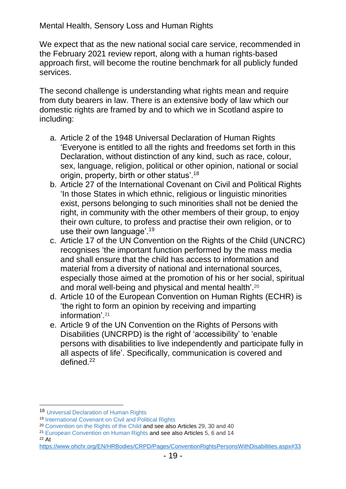We expect that as the new national social care service, recommended in the February 2021 review report, along with a human rights-based approach first, will become the routine benchmark for all publicly funded services.

The second challenge is understanding what rights mean and require from duty bearers in law. There is an extensive body of law which our domestic rights are framed by and to which we in Scotland aspire to including:

- a. Article 2 of the 1948 Universal Declaration of Human Rights 'Everyone is entitled to all the rights and freedoms set forth in this Declaration, without distinction of any kind, such as race, colour, sex, language, religion, political or other opinion, national or social origin, property, birth or other status'.<sup>18</sup>
- b. Article 27 of the International Covenant on Civil and Political Rights 'In those States in which ethnic, religious or linguistic minorities exist, persons belonging to such minorities shall not be denied the right, in community with the other members of their group, to enjoy their own culture, to profess and practise their own religion, or to use their own language'.<sup>19</sup>
- c. Article 17 of the UN Convention on the Rights of the Child (UNCRC) recognises 'the important function performed by the mass media and shall ensure that the child has access to information and material from a diversity of national and international sources, especially those aimed at the promotion of his or her social, spiritual and moral well-being and physical and mental health'.<sup>20</sup>
- d. Article 10 of the European Convention on Human Rights (ECHR) is 'the right to form an opinion by receiving and imparting information'. 21
- e. Article 9 of the UN Convention on the Rights of Persons with Disabilities (UNCRPD) is the right of 'accessibility' to 'enable persons with disabilities to live independently and participate fully in all aspects of life'. Specifically, communication is covered and defined.<sup>22</sup>

<sup>18</sup> [Universal Declaration of Human Rights](http://www.un.org/en/universal-declaration-human-rights/index.html)

<sup>19</sup> [International Covenant on Civil and Political Rights](http://www.ohchr.org/EN/ProfessionalInterest/Pages/CCPR.aspx)

<sup>&</sup>lt;sup>20</sup> [Convention on the Rights of the Child](http://www.ohchr.org/EN/ProfessionalInterest/Pages/CRC.aspx) and see also Articles 29, 30 and 40

<sup>&</sup>lt;sup>21</sup> [European Convention on Human Rights](http://www.echr.coe.int/Documents/Convention_ENG.pdf) and see also Articles 5, 6 and 14

<sup>22</sup> At

<https://www.ohchr.org/EN/HRBodies/CRPD/Pages/ConventionRightsPersonsWithDisabilities.aspx#33>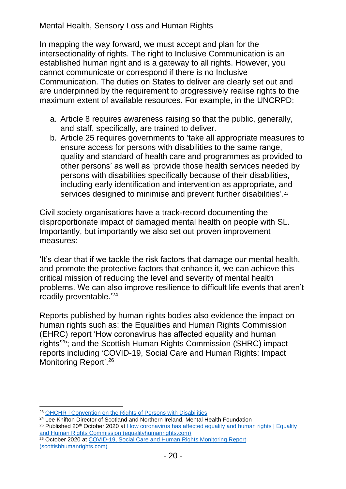In mapping the way forward, we must accept and plan for the intersectionality of rights. The right to Inclusive Communication is an established human right and is a gateway to all rights. However, you cannot communicate or correspond if there is no Inclusive Communication. The duties on States to deliver are clearly set out and are underpinned by the requirement to progressively realise rights to the maximum extent of available resources. For example, in the UNCRPD:

- a. Article 8 requires awareness raising so that the public, generally, and staff, specifically, are trained to deliver.
- b. Article 25 requires governments to 'take all appropriate measures to ensure access for persons with disabilities to the same range, quality and standard of health care and programmes as provided to other persons' as well as 'provide those health services needed by persons with disabilities specifically because of their disabilities, including early identification and intervention as appropriate, and services designed to minimise and prevent further disabilities'.<sup>23</sup>

Civil society organisations have a track-record documenting the disproportionate impact of damaged mental health on people with SL. Importantly, but importantly we also set out proven improvement measures:

'It's clear that if we tackle the risk factors that damage our mental health, and promote the protective factors that enhance it, we can achieve this critical mission of reducing the level and severity of mental health problems. We can also improve resilience to difficult life events that aren't readily preventable.'<sup>24</sup>

Reports published by human rights bodies also evidence the impact on human rights such as: the Equalities and Human Rights Commission (EHRC) report 'How coronavirus has affected equality and human rights'<sup>25</sup>; and the Scottish Human Rights Commission (SHRC) impact reports including 'COVID-19, Social Care and Human Rights: Impact Monitoring Report'.<sup>26</sup>

<sup>25</sup> Published 20<sup>th</sup> October 2020 at How coronavirus has affected equality and human rights | Equality [and Human Rights Commission \(equalityhumanrights.com\)](https://www.equalityhumanrights.com/en/publication-download/how-coronavirus-has-affected-equality-and-human-rights)

<sup>23</sup> [OHCHR | Convention on the Rights of Persons with Disabilities](https://www.ohchr.org/EN/HRBodies/CRPD/Pages/ConventionRightsPersonsWithDisabilities.aspx#33)

<sup>&</sup>lt;sup>24</sup> Lee Knifton Director of Scotland and Northern Ireland, Mental Health Foundation

<sup>&</sup>lt;sup>26</sup> October 2020 at COVID-19, Social Care and Human Rights Monitoring Report [\(scottishhumanrights.com\)](https://www.scottishhumanrights.com/media/2102/covid-19-social-care-monitoring-report-vfinal.pdf)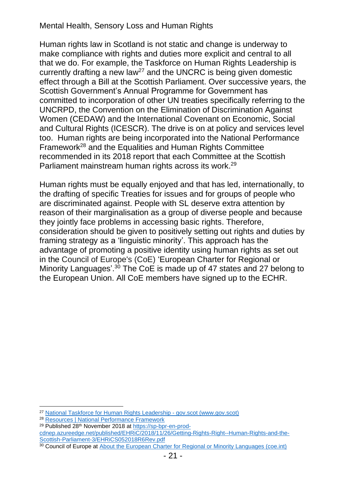Human rights law in Scotland is not static and change is underway to make compliance with rights and duties more explicit and central to all that we do. For example, the Taskforce on Human Rights Leadership is currently drafting a new law<sup>27</sup> and the UNCRC is being given domestic effect through a Bill at the Scottish Parliament. Over successive years, the Scottish Government's Annual Programme for Government has committed to incorporation of other UN treaties specifically referring to the UNCRPD, the Convention on the Elimination of Discrimination Against Women (CEDAW) and the International Covenant on Economic, Social and Cultural Rights (ICESCR). The drive is on at policy and services level too. Human rights are being incorporated into the National Performance Framework<sup>28</sup> and the Equalities and Human Rights Committee recommended in its 2018 report that each Committee at the Scottish Parliament mainstream human rights across its work.<sup>29</sup>

Human rights must be equally enjoyed and that has led, internationally, to the drafting of specific Treaties for issues and for groups of people who are discriminated against. People with SL deserve extra attention by reason of their marginalisation as a group of diverse people and because they jointly face problems in accessing basic rights. Therefore, consideration should be given to positively setting out rights and duties by framing strategy as a 'linguistic minority'. This approach has the advantage of promoting a positive identity using human rights as set out in the Council of Europe's (CoE) 'European Charter for Regional or Minority Languages'.<sup>30</sup> The CoE is made up of 47 states and 27 belong to the European Union. All CoE members have signed up to the ECHR.

[cdnep.azureedge.net/published/EHRiC/2018/11/26/Getting-Rights-Right--Human-Rights-and-the-](https://sp-bpr-en-prod-cdnep.azureedge.net/published/EHRiC/2018/11/26/Getting-Rights-Right--Human-Rights-and-the-Scottish-Parliament-3/EHRiCS052018R6Rev.pdf)[Scottish-Parliament-3/EHRiCS052018R6Rev.pdf](https://sp-bpr-en-prod-cdnep.azureedge.net/published/EHRiC/2018/11/26/Getting-Rights-Right--Human-Rights-and-the-Scottish-Parliament-3/EHRiCS052018R6Rev.pdf) 30 Council of Europe at [About the European Charter for Regional or Minority Languages \(coe.int\)](https://www.coe.int/en/web/european-charter-regional-or-minority-languages/about-the-charter)

<sup>27</sup> [National Taskforce for Human Rights Leadership -](https://www.gov.scot/groups/national-taskforce-for-human-rights-leadership/) gov.scot (www.gov.scot)

<sup>28</sup> [Resources | National Performance Framework](https://nationalperformance.gov.scot/resources)

<sup>29</sup> Published 28th November 2018 at [https://sp-bpr-en-prod-](https://sp-bpr-en-prod-cdnep.azureedge.net/published/EHRiC/2018/11/26/Getting-Rights-Right--Human-Rights-and-the-Scottish-Parliament-3/EHRiCS052018R6Rev.pdf)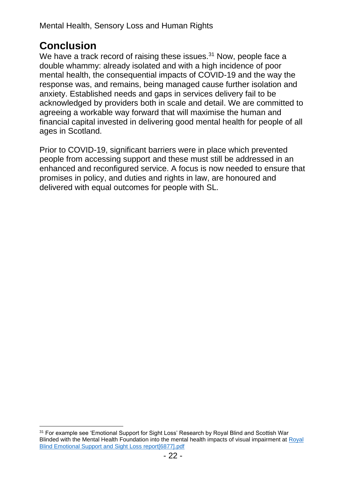### **Conclusion**

We have a track record of raising these issues. $31$  Now, people face a double whammy: already isolated and with a high incidence of poor mental health, the consequential impacts of COVID-19 and the way the response was, and remains, being managed cause further isolation and anxiety. Established needs and gaps in services delivery fail to be acknowledged by providers both in scale and detail. We are committed to agreeing a workable way forward that will maximise the human and financial capital invested in delivering good mental health for people of all ages in Scotland.

Prior to COVID-19, significant barriers were in place which prevented people from accessing support and these must still be addressed in an enhanced and reconfigured service. A focus is now needed to ensure that promises in policy, and duties and rights in law, are honoured and delivered with equal outcomes for people with SL.

<sup>&</sup>lt;sup>31</sup> For example see 'Emotional Support for Sight Loss' Research by Royal Blind and Scottish War Blinded with the Mental Health Foundation into the mental health impacts of visual impairment at Royal Blind [Emotional Support and Sight Loss report\[6877\].pdf](file:///C:/Users/carol/Documents/deafscotland/Joint%20Work/Royal%20Blind%20Emotional%20Support%20and%20Sight%20Loss%20report%5b6877%5d.pdf)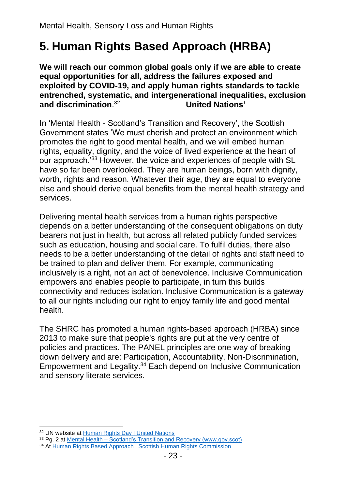# **5. Human Rights Based Approach (HRBA)**

**We will reach our common global goals only if we are able to create equal opportunities for all, address the failures exposed and exploited by COVID-19, and apply human rights standards to tackle entrenched, systematic, and intergenerational inequalities, exclusion and discrimination**. 32 **United Nations'**

In 'Mental Health - Scotland's Transition and Recovery', the Scottish Government states 'We must cherish and protect an environment which promotes the right to good mental health, and we will embed human rights, equality, dignity, and the voice of lived experience at the heart of our approach.'<sup>33</sup> However, the voice and experiences of people with SL have so far been overlooked. They are human beings, born with dignity, worth, rights and reason. Whatever their age, they are equal to everyone else and should derive equal benefits from the mental health strategy and services.

Delivering mental health services from a human rights perspective depends on a better understanding of the consequent obligations on duty bearers not just in health, but across all related publicly funded services such as education, housing and social care. To fulfil duties, there also needs to be a better understanding of the detail of rights and staff need to be trained to plan and deliver them. For example, communicating inclusively is a right, not an act of benevolence. Inclusive Communication empowers and enables people to participate, in turn this builds connectivity and reduces isolation. Inclusive Communication is a gateway to all our rights including our right to enjoy family life and good mental health.

The SHRC has promoted a human rights-based approach (HRBA) since 2013 to make sure that people's rights are put at the very centre of policies and practices. The PANEL principles are one way of breaking down delivery and are: Participation, Accountability, Non-Discrimination, Empowerment and Legality. <sup>34</sup> Each depend on Inclusive Communication and sensory literate services.

<sup>32</sup> UN website at [Human Rights Day | United Nations](https://www.un.org/en/observances/human-rights-day)

<sup>33</sup> Pg. 2 at Mental Health – [Scotland's Transition and Recovery \(www.gov.scot\)](https://www.gov.scot/binaries/content/documents/govscot/publications/strategy-plan/2020/10/mental-health-scotlands-transition-recovery/documents/mental-health-scotlands-transition-recovery/mental-health-scotlands-transition-recovery/govscot%3Adocument/mental-health-scotlands-transition-recovery.pdf?forceDownload=true) <sup>34</sup> At [Human Rights Based Approach | Scottish Human Rights Commission](https://www.scottishhumanrights.com/projects-and-programmes/human-rights-based-approach/)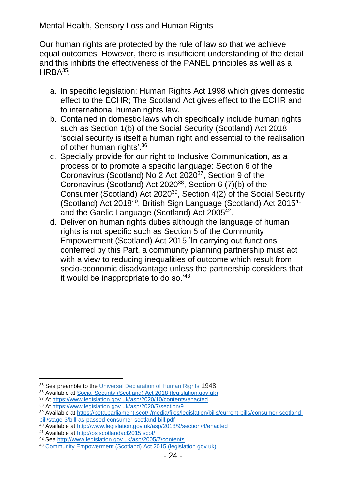Our human rights are protected by the rule of law so that we achieve equal outcomes. However, there is insufficient understanding of the detail and this inhibits the effectiveness of the PANEL principles as well as a HRBA<sup>35</sup>:

- a. In specific legislation: Human Rights Act 1998 which gives domestic effect to the ECHR; The Scotland Act gives effect to the ECHR and to international human rights law.
- b. Contained in domestic laws which specifically include human rights such as Section 1(b) of the Social Security (Scotland) Act 2018 'social security is itself a human right and essential to the realisation of other human rights'.<sup>36</sup>
- c. Specially provide for our right to Inclusive Communication, as a process or to promote a specific language: Section 6 of the Coronavirus (Scotland) No 2 Act 2020<sup>37</sup>, Section 9 of the Coronavirus (Scotland) Act 2020 $^{38}$ , Section 6 (7)(b) of the Consumer (Scotland) Act 2020 $^{39}$ , Section 4(2) of the Social Security (Scotland) Act 2018<sup>40</sup>, British Sign Language (Scotland) Act 2015<sup>41</sup> and the Gaelic Language (Scotland) Act 2005 $42$ .
- d. Deliver on human rights duties although the language of human rights is not specific such as Section 5 of the Community Empowerment (Scotland) Act 2015 'In carrying out functions conferred by this Part, a community planning partnership must act with a view to reducing inequalities of outcome which result from socio-economic disadvantage unless the partnership considers that it would be inappropriate to do so.'<sup>43</sup>

<sup>&</sup>lt;sup>35</sup> See preamble to the [Universal Declaration of Human Rights](http://www.un.org/en/universal-declaration-human-rights/index.html) 1948

<sup>36</sup> Available at [Social Security \(Scotland\) Act 2018 \(legislation.gov.uk\)](https://www.legislation.gov.uk/asp/2018/9/section/1/enacted)

<sup>37</sup> At<https://www.legislation.gov.uk/asp/2020/10/contents/enacted>

<sup>38</sup> At<https://www.legislation.gov.uk/asp/2020/7/section/9>

<sup>39</sup> Available at [https://beta.parliament.scot/-/media/files/legislation/bills/current-bills/consumer-scotland](https://beta.parliament.scot/-/media/files/legislation/bills/current-bills/consumer-scotland-bill/stage-3/bill-as-passed-consumer-scotland-bill.pdf)[bill/stage-3/bill-as-passed-consumer-scotland-bill.pdf](https://beta.parliament.scot/-/media/files/legislation/bills/current-bills/consumer-scotland-bill/stage-3/bill-as-passed-consumer-scotland-bill.pdf)

<sup>40</sup> Available at<http://www.legislation.gov.uk/asp/2018/9/section/4/enacted>

<sup>41</sup> Available at<http://bslscotlandact2015.scot/>

<sup>42</sup> See<http://www.legislation.gov.uk/asp/2005/7/contents>

<sup>43</sup> [Community Empowerment \(Scotland\) Act 2015 \(legislation.gov.uk\)](https://www.legislation.gov.uk/asp/2015/6/contents/enacted)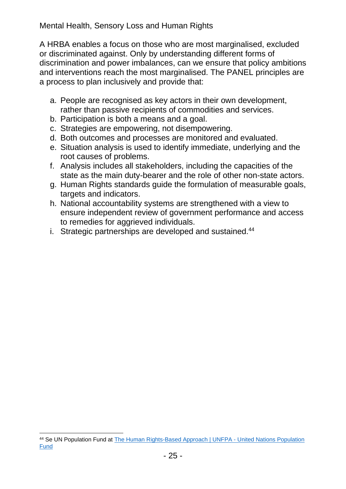A HRBA enables a focus on those who are most marginalised, excluded or discriminated against. Only by understanding different forms of discrimination and power imbalances, can we ensure that policy ambitions and interventions reach the most marginalised. The PANEL principles are a process to plan inclusively and provide that:

- a. People are recognised as key actors in their own development, rather than passive recipients of commodities and services.
- b. Participation is both a means and a goal.
- c. Strategies are empowering, not disempowering.
- d. Both outcomes and processes are monitored and evaluated.
- e. Situation analysis is used to identify immediate, underlying and the root causes of problems.
- f. Analysis includes all stakeholders, including the capacities of the state as the main duty-bearer and the role of other non-state actors.
- g. Human Rights standards guide the formulation of measurable goals, targets and indicators.
- h. National accountability systems are strengthened with a view to ensure independent review of government performance and access to remedies for aggrieved individuals.
- i. Strategic partnerships are developed and sustained.<sup>44</sup>

<sup>44</sup> Se UN Population Fund at [The Human Rights-Based Approach | UNFPA -](https://www.unfpa.org/human-rights-based-approach) United Nations Population **[Fund](https://www.unfpa.org/human-rights-based-approach)**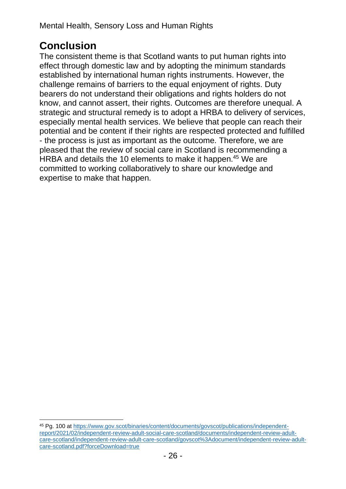### **Conclusion**

The consistent theme is that Scotland wants to put human rights into effect through domestic law and by adopting the minimum standards established by international human rights instruments. However, the challenge remains of barriers to the equal enjoyment of rights. Duty bearers do not understand their obligations and rights holders do not know, and cannot assert, their rights. Outcomes are therefore unequal. A strategic and structural remedy is to adopt a HRBA to delivery of services, especially mental health services. We believe that people can reach their potential and be content if their rights are respected protected and fulfilled - the process is just as important as the outcome. Therefore, we are pleased that the review of social care in Scotland is recommending a HRBA and details the 10 elements to make it happen.<sup>45</sup> We are committed to working collaboratively to share our knowledge and expertise to make that happen.

<sup>45</sup> Pg. 100 at [https://www.gov.scot/binaries/content/documents/govscot/publications/independent](https://www.gov.scot/binaries/content/documents/govscot/publications/independent-report/2021/02/independent-review-adult-social-care-scotland/documents/independent-review-adult-care-scotland/independent-review-adult-care-scotland/govscot%3Adocument/independent-review-adult-care-scotland.pdf?forceDownload=true)[report/2021/02/independent-review-adult-social-care-scotland/documents/independent-review-adult](https://www.gov.scot/binaries/content/documents/govscot/publications/independent-report/2021/02/independent-review-adult-social-care-scotland/documents/independent-review-adult-care-scotland/independent-review-adult-care-scotland/govscot%3Adocument/independent-review-adult-care-scotland.pdf?forceDownload=true)[care-scotland/independent-review-adult-care-scotland/govscot%3Adocument/independent-review-adult](https://www.gov.scot/binaries/content/documents/govscot/publications/independent-report/2021/02/independent-review-adult-social-care-scotland/documents/independent-review-adult-care-scotland/independent-review-adult-care-scotland/govscot%3Adocument/independent-review-adult-care-scotland.pdf?forceDownload=true)[care-scotland.pdf?forceDownload=true](https://www.gov.scot/binaries/content/documents/govscot/publications/independent-report/2021/02/independent-review-adult-social-care-scotland/documents/independent-review-adult-care-scotland/independent-review-adult-care-scotland/govscot%3Adocument/independent-review-adult-care-scotland.pdf?forceDownload=true)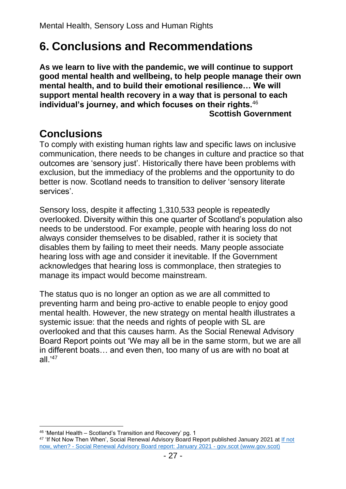# **6. Conclusions and Recommendations**

**As we learn to live with the pandemic, we will continue to support good mental health and wellbeing, to help people manage their own mental health, and to build their emotional resilience… We will support mental health recovery in a way that is personal to each individual's journey, and which focuses on their rights.**<sup>46</sup> **Scottish Government** 

### **Conclusions**

To comply with existing human rights law and specific laws on inclusive communication, there needs to be changes in culture and practice so that outcomes are 'sensory just'. Historically there have been problems with exclusion, but the immediacy of the problems and the opportunity to do better is now. Scotland needs to transition to deliver 'sensory literate services'.

Sensory loss, despite it affecting 1,310,533 people is repeatedly overlooked. Diversity within this one quarter of Scotland's population also needs to be understood. For example, people with hearing loss do not always consider themselves to be disabled, rather it is society that disables them by failing to meet their needs. Many people associate hearing loss with age and consider it inevitable. If the Government acknowledges that hearing loss is commonplace, then strategies to manage its impact would become mainstream.

The status quo is no longer an option as we are all committed to preventing harm and being pro-active to enable people to enjoy good mental health. However, the new strategy on mental health illustrates a systemic issue: that the needs and rights of people with SL are overlooked and that this causes harm. As the Social Renewal Advisory Board Report points out 'We may all be in the same storm, but we are all in different boats… and even then, too many of us are with no boat at all. $147$ 

<sup>46</sup> 'Mental Health – Scotland's Transition and Recovery' pg. 1

<sup>&</sup>lt;sup>47</sup> 'If Not Now Then When', Social Renewal Advisory Board Report published January 2021 at If not now, when? - [Social Renewal Advisory Board report: January 2021 -](https://www.gov.scot/publications/not-now-social-renewal-advisory-board-report-january-2021/pages/3/) gov.scot (www.gov.scot)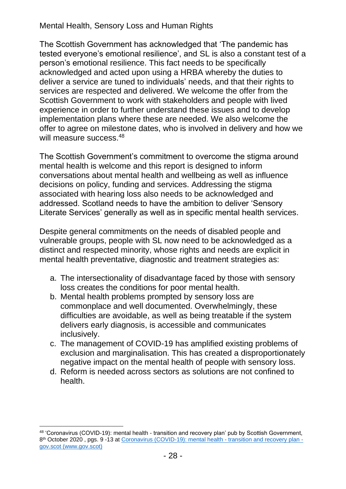The Scottish Government has acknowledged that 'The pandemic has tested everyone's emotional resilience', and SL is also a constant test of a person's emotional resilience. This fact needs to be specifically acknowledged and acted upon using a HRBA whereby the duties to deliver a service are tuned to individuals' needs, and that their rights to services are respected and delivered. We welcome the offer from the Scottish Government to work with stakeholders and people with lived experience in order to further understand these issues and to develop implementation plans where these are needed. We also welcome the offer to agree on milestone dates, who is involved in delivery and how we will measure success.<sup>48</sup>

The Scottish Government's commitment to overcome the stigma around mental health is welcome and this report is designed to inform conversations about mental health and wellbeing as well as influence decisions on policy, funding and services. Addressing the stigma associated with hearing loss also needs to be acknowledged and addressed. Scotland needs to have the ambition to deliver 'Sensory Literate Services' generally as well as in specific mental health services.

Despite general commitments on the needs of disabled people and vulnerable groups, people with SL now need to be acknowledged as a distinct and respected minority, whose rights and needs are explicit in mental health preventative, diagnostic and treatment strategies as:

- a. The intersectionality of disadvantage faced by those with sensory loss creates the conditions for poor mental health.
- b. Mental health problems prompted by sensory loss are commonplace and well documented. Overwhelmingly, these difficulties are avoidable, as well as being treatable if the system delivers early diagnosis, is accessible and communicates inclusively.
- c. The management of COVID-19 has amplified existing problems of exclusion and marginalisation. This has created a disproportionately negative impact on the mental health of people with sensory loss.
- d. Reform is needed across sectors as solutions are not confined to health.

<sup>48</sup> 'Coronavirus (COVID-19): mental health - transition and recovery plan' pub by Scottish Government, 8<sup>th</sup> October 2020, pgs. 9 -13 at [Coronavirus \(COVID-19\): mental health -](https://www.gov.scot/publications/mental-health-scotlands-transition-recovery/) transition and recovery plan [gov.scot \(www.gov.scot\)](https://www.gov.scot/publications/mental-health-scotlands-transition-recovery/)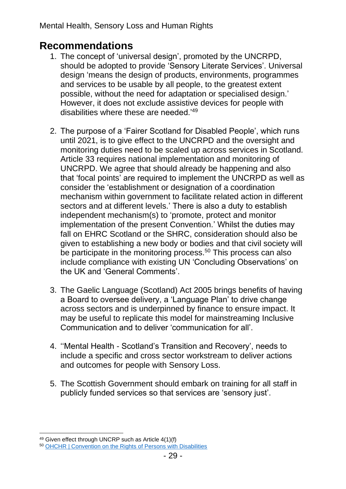### **Recommendations**

- 1. The concept of 'universal design', promoted by the UNCRPD, should be adopted to provide 'Sensory Literate Services'. Universal design 'means the design of products, environments, programmes and services to be usable by all people, to the greatest extent possible, without the need for adaptation or specialised design.' However, it does not exclude assistive devices for people with disabilities where these are needed.'<sup>49</sup>
- 2. The purpose of a 'Fairer Scotland for Disabled People', which runs until 2021, is to give effect to the UNCRPD and the oversight and monitoring duties need to be scaled up across services in Scotland. Article 33 requires national implementation and monitoring of UNCRPD. We agree that should already be happening and also that 'focal points' are required to implement the UNCRPD as well as consider the 'establishment or designation of a coordination mechanism within government to facilitate related action in different sectors and at different levels.' There is also a duty to establish independent mechanism(s) to 'promote, protect and monitor implementation of the present Convention.' Whilst the duties may fall on EHRC Scotland or the SHRC, consideration should also be given to establishing a new body or bodies and that civil society will be participate in the monitoring process.<sup>50</sup> This process can also include compliance with existing UN 'Concluding Observations' on the UK and 'General Comments'.
- 3. The Gaelic Language (Scotland) Act 2005 brings benefits of having a Board to oversee delivery, a 'Language Plan' to drive change across sectors and is underpinned by finance to ensure impact. It may be useful to replicate this model for mainstreaming Inclusive Communication and to deliver 'communication for all'.
- 4. ''Mental Health Scotland's Transition and Recovery', needs to include a specific and cross sector workstream to deliver actions and outcomes for people with Sensory Loss.
- 5. The Scottish Government should embark on training for all staff in publicly funded services so that services are 'sensory just'.

<sup>49</sup> Given effect through UNCRP such as Article 4(1)(f)

<sup>50</sup> [OHCHR | Convention on the Rights of Persons with Disabilities](https://www.ohchr.org/EN/HRBodies/CRPD/Pages/ConventionRightsPersonsWithDisabilities.aspx#33)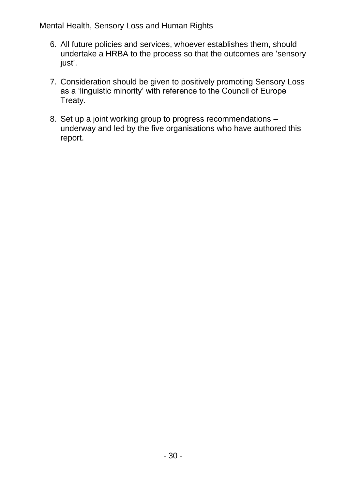- 6. All future policies and services, whoever establishes them, should undertake a HRBA to the process so that the outcomes are 'sensory just'.
- 7. Consideration should be given to positively promoting Sensory Loss as a 'linguistic minority' with reference to the Council of Europe Treaty.
- 8. Set up a joint working group to progress recommendations underway and led by the five organisations who have authored this report.